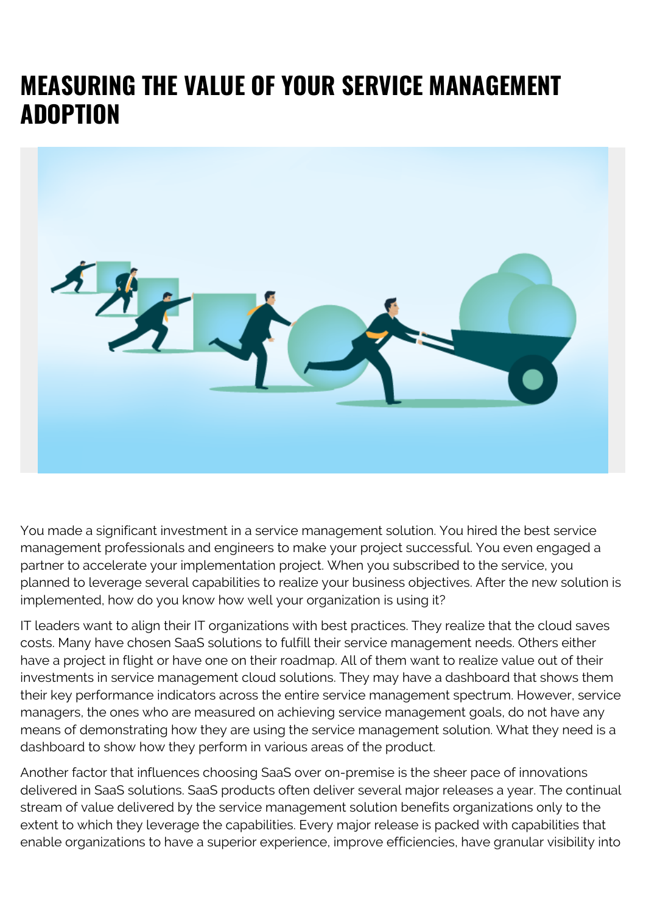## **MEASURING THE VALUE OF YOUR SERVICE MANAGEMENT ADOPTION**



You made a significant investment in a service management solution. You hired the best service management professionals and engineers to make your project successful. You even engaged a partner to accelerate your implementation project. When you subscribed to the service, you planned to leverage several capabilities to realize your business objectives. After the new solution is implemented, how do you know how well your organization is using it?

IT leaders want to align their IT organizations with best practices. They realize that the cloud saves costs. Many have chosen SaaS solutions to fulfill their service management needs. Others either have a project in flight or have one on their roadmap. All of them want to realize value out of their investments in service management cloud solutions. They may have a dashboard that shows them their key performance indicators across the entire service management spectrum. However, service managers, the ones who are measured on achieving service management goals, do not have any means of demonstrating how they are using the service management solution. What they need is a dashboard to show how they perform in various areas of the product.

Another factor that influences choosing SaaS over on-premise is the sheer pace of innovations delivered in SaaS solutions. SaaS products often deliver several major releases a year. The continual stream of value delivered by the service management solution benefits organizations only to the extent to which they leverage the capabilities. Every major release is packed with capabilities that enable organizations to have a superior experience, improve efficiencies, have granular visibility into